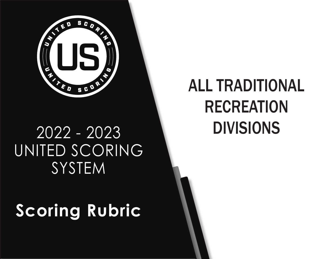

# 2022 - 2023 DIVISIONS UNITED SCORING **SYSTEM**

# **Scoring Rubric**

# ALL TRADITIONAL RECREATION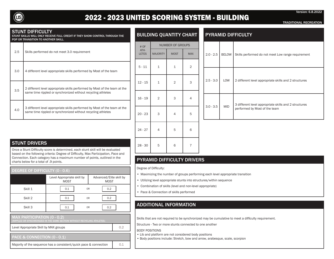

# 2022 - 2023 UNITED SCORING SYSTEM - BUILDING

TRADITIONAL RECREATION

Version: 6.8.2022

#### STUNT DIFFICULTY

STUNT SKILLS WILL ONLY RECEIVE FULL CREDIT IF THEY SHOW CONTROL THROUGH THE POP OR TRANSITION TO ANOTHER SKILL.

| 2.5 | Skills performed do not meet 3.0 requirement                                                                                              |
|-----|-------------------------------------------------------------------------------------------------------------------------------------------|
| 3.0 | 4 different level appropriate skills performed by Most of the team                                                                        |
| 3.5 | 2 different level appropriate skills performed by Most of the team at the<br>same time rippled or synchronized without recycling athletes |
| 4.0 | 3 different level appropriate skills performed by Most of the team at the<br>same time rippled or synchronized without recycling athletes |

## BUILDING QUANTITY CHART

| # OF                 |                 | <b>NUMBER OF GROUPS</b> |                |  |
|----------------------|-----------------|-------------------------|----------------|--|
| ATH-<br><b>LETES</b> | <b>MAJORITY</b> | <b>MOST</b>             | <b>MAX</b>     |  |
| $5 - 11$             | 1               | $\mathbf 1$             | $\overline{2}$ |  |
| $12 - 15$            | $\mathbf 1$     | $\overline{2}$          | 3              |  |
| $16 - 19$            | $\overline{2}$  | 3                       | 4              |  |
| $20 - 23$            | 3               | $\overline{4}$          | 5              |  |
| $24 - 27$            | $\overline{4}$  | 5                       | 6              |  |
| $28 - 30$            | 5               | 6                       | 7              |  |

### **STUNT DRIVERS**

Once a Stunt Difficulty score is determined, each stunt skill will be evaluated based on the following criteria: Degree of Difficulty, Max Participation, Pace and Connection. Each category has a maximum number of points, outlined in the charts below for a total of .9 points.

#### DEGREE OF DIFFICULTY (0 - 0.6)

|         | Level Appropriate skill by<br><b>MOST</b> | Advanced/Elite skill by<br><b>MOST</b> |
|---------|-------------------------------------------|----------------------------------------|
| Skill 1 | 0.1<br>0 <sub>R</sub>                     | 0.2                                    |
| Skill 2 | 0.1<br>0 <sub>R</sub>                     | 0.2                                    |
| Skill 3 | 0.1<br><b>OR</b>                          | 0.2                                    |

#### MAX PARTICIPATION (0 - 0.2)

#### Level Appropriate Skill by MAX groups **1998 1998 1998 1998 1999 1999 1999 1999 1999 1999 1999 1999 1999 1999 1999 1999 1999 1999 1999 1999 1999 1999 1999 1999 1999 1999 1**

PACE & CONNECTION (0 - 0.1)

Majority of the sequence has a consistent/quick pace & connection  $\vert$  0.1

# PYRAMID DIFFICULTY

|  | $2.0 - 2.5$ | <b>BELOW</b> | Skills performed do not meet Low range requirement                                     |
|--|-------------|--------------|----------------------------------------------------------------------------------------|
|  | $2.5 - 3.0$ | LOW          | 2 different level appropriate skills and 2 structures                                  |
|  | $3.0 - 3.5$ | <b>MID</b>   | 3 different level appropriate skills and 2 structures<br>performed by Most of the team |
|  |             |              |                                                                                        |

# PYRAMID DIFFICULTY DRIVERS

Degree of Difficulty:

- Maximizing the number of groups performing each level appropriate transition
- Utilizing level appropriate stunts into structures/within sequence
- Combination of skills (level and non-level appropriate)
- Pace & Connection of skills performed

# ADDITIONAL INFORMATION

Skills that are not required to be synchronized may be cumulative to meet a difficulty requirement.

Structure - Two or more stunts connected to one another

BODY POSITIONS

• Lib and platform are not considered body positions

• Body positions include: Stretch, bow and arrow, arabesque, scale, scorpion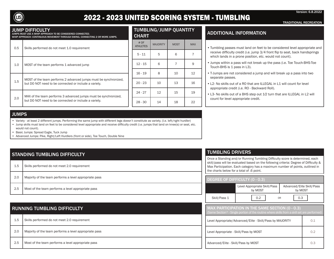

# 2022 - 2023 UNITED SCORING SYSTEM - TUMBLING

Version: 6.8.2022

#### TRADITIONAL RECREATION

#### JUMP DIFFICULTY

JUMPS MUST USE A WHIP APPROACH TO BE CONSIDERED CONNECTED. WHIP APPROACH- CONTINUOUS MOVEMENT THROUGH SWING, CONNECTING 2 OR MORE JUMPS.

| 0.5 | Skills performed do not meet 1.0 requirement                                                                              |
|-----|---------------------------------------------------------------------------------------------------------------------------|
| 1.0 | MOST of the team performs 1 advanced jump                                                                                 |
| 1.5 | MOST of the team performs 2 advanced jumps must be synchronized.<br>but DO NOT need to be connected or include a variety. |
| 2.0 | MAX of the team performs 3 advanced jumps must be synchronized.<br>but DO NOT need to be connected or include a variety.  |

# TUMBLING/JUMP QUANTITY

| <b>CHART</b>            |                 |             |            |
|-------------------------|-----------------|-------------|------------|
| # OF<br><b>ATHLETES</b> | <b>MAJORITY</b> | <b>MOST</b> | <b>MAX</b> |
| $5 - 11$                | 5               | 6           | 7          |
| $12 - 15$               | 6               | 7           | 9          |
| $16 - 19$               | 8               | 10          | 12         |
| $20 - 23$               | 10              | 13          | 16         |
| $24 - 27$               | 12              | 15          | 19         |
| $28 - 30$               | 14              | 18          | 22         |

# ADDITIONAL INFORMATION

- Tumbling passes must land on feet to be considered level appropriate and receive difficulty credit (i.e. jump 3/4 front flip to seat, back handsprings which lands in a prone position, etc. would not count).
- Jumps within a pass will not break up the pass (i.e. Toe Touch-BHS-Toe Touch-BHS is 1 pass in L3).
- T-Jumps are not considered a jump and will break up a pass into two separate passes.
- L2- No skills out of a RO that are ILLEGAL in L1 will count for level appropriate credit (i.e. RO - Backward Roll).
- L3- No skills out of a BHS step out 1⁄2 turn that are ILLEGAL in L2 will count for level appropriate credit.

# JUMPS

• Variety - at least 2 different jumps. Performing the same jump with different legs doesn't constitute as variety. (I.e. left/right hurdler)

- Jump skills must land on feet to be considered level appropriate and receive difficulty credit (i.e. jumps that land on knee(s) or seat, etc. would not count).
- Basic Jumps: Spread Eagle, Tuck Jump
- Advanced Jumps: Pike, Right/Left Hurdlers (front or side), Toe Touch, Double Nine

# STANDING TUMBLING DIFFICULTY

| 1.5 | Skills performed do not meet 2.0 requirement           |
|-----|--------------------------------------------------------|
| 2.0 | Majority of the team performs a level appropriate pass |
| 2.5 | Most of the team performs a level appropriate pass     |

# RUNNING TUMBLING DIFFICULTY

1.5 Skills performed do not meet 2.0 requirement 2.0 | Majority of the team performs a level appropriate pass

2.5 | Most of the team performs a level appropriate pass

# TUMBLING DRIVERS

Once a Standing and/or Running Tumbling Difficulty score is determined, each skill/pass will be evaluated based on the following criteria: Degree of Difficulty & Max Participation. Each category has a maximum number of points, outlined in the charts below for a total of .6 point.

#### DEGREE OF DIFFICULTY (0 - 0.3)

|              | Level Appropriate Skill/Pass<br>by MOST |                | Advanced/Elite Skill/Pass<br>by MOST |
|--------------|-----------------------------------------|----------------|--------------------------------------|
| Skill/Pass 1 | 0.2                                     | 0 <sub>R</sub> | 0.3                                  |

| <b>MAX PARTICIPATION IN THE SAME SECTION (0 - 0.3)</b><br>(Same Section* - Single portion of the routine where skills from a skill set are performed) |     |  |
|-------------------------------------------------------------------------------------------------------------------------------------------------------|-----|--|
| Level Appropriate/Advanced/Elite - Skill/Pass by MAJORITY                                                                                             | 0.1 |  |
| Level Appropriate - Skill/Pass by MOST                                                                                                                | 0.2 |  |
| Advanced/Elite - Skill/Pass by MOST                                                                                                                   | 0.3 |  |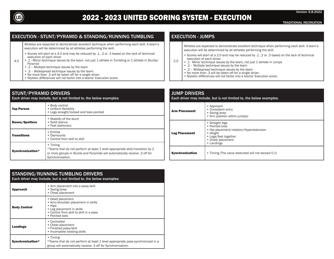

TRADITIONAL RECREATION

Version: 6.8.2022

## EXECUTION - STUNT/PYRAMID & STANDING/RUNNING TUMBLING

Athletes are expected to demonstrate excellent technique when performing each skill. A team's execution will be determined by all athletes performing the skill.

- Scores will start at a 4.0 and may be reduced by .1, .2 or .3 based on the lack of technical execution of each driver
- 4.0 • .1 - Minor technique issues by the team, not just 1 athlete in Tumbling or 1 athlete in Stunts/ Pyramid
	- .2 Multiple technique issues by the team
	- .3 Widespread technique issues by the team
	- No more than .3 will be taken off for a single driver.
	- Stylistic differences will not factor into a teams' Execution score.

# STUNT/PYRAMID DRIVERS

| Each driver may include, but is not limited to, the below examples: |                                                                                                                                                                                              |  |
|---------------------------------------------------------------------|----------------------------------------------------------------------------------------------------------------------------------------------------------------------------------------------|--|
| <b>Top Person</b>                                                   | • Body control<br>• Uniform flexibility<br>• Legs straight/locked and toes pointed                                                                                                           |  |
| <b>Bases/Spotters</b>                                               | • Stability of the stunt<br>• Solid stance<br>• Feet stationary                                                                                                                              |  |
| <b>Transitions</b>                                                  | • Entries<br>• Dismounts<br>• Control from skill to skill                                                                                                                                    |  |
| Synchronization*                                                    | • Timing<br>*Teams that do not perform at least 1 level appropriate skill/transition by 2<br>or more groups in Stunts and Pyramids will automatically receive .3 off for<br>Synchronization. |  |

# EXECUTION - JUMPS

Athletes are expected to demonstrate excellent technique when performing each skill. A team's execution will be determined by all athletes performing the skill.

- Scores will start at a 2.0 and may be reduced by .1, .2 or .3 based on the lack of technical execution of each driver
- 2.0 • .1 - Minor technique issues by the team, not just 1 athlete in Jumps
	- .2 Multiple technique issues by the team
	- .3 Widespread technique issues by the team
	- No more than .3 will be taken off for a single driver.
	- Stylistic differences will not factor into a teams' Execution score.

| <b>JUMP DRIVERS</b><br>Each driver may include, but is not limited to, the below examples: |                                                                                                                                                     |  |
|--------------------------------------------------------------------------------------------|-----------------------------------------------------------------------------------------------------------------------------------------------------|--|
| <b>Arm Placement</b>                                                                       | • Approach<br>• Consistent entry<br>• Swing/prep<br>• Arm position within jump(s)                                                                   |  |
| <b>Leg Placement</b>                                                                       | • Straight legs<br>• Pointed toes<br>• Hip placement/rotation/Hyperextension<br>• Height<br>• Legs/feet together<br>• Chest placement<br>• Landings |  |
| <b>Synchronization</b>                                                                     | • Timing (The value deducted will not exceed 0.1)                                                                                                   |  |

| STANDING/RUNNING TUMBLING DRIVERS<br>Each driver may include, but is not limited to, the below examples: |                                                                                                                                                            |  |
|----------------------------------------------------------------------------------------------------------|------------------------------------------------------------------------------------------------------------------------------------------------------------|--|
| <b>Approach</b>                                                                                          | • Arm placement into a pass/skill<br>• Swing/prep<br>• Chest placement                                                                                     |  |
| <b>Body Control</b>                                                                                      | • Head placement<br>• Arm/shoulder placement in skills<br>• Hips<br>• Leg placement in skills<br>• Control from skill to skill in a pass<br>• Pointed toes |  |
| <b>Landings</b>                                                                                          | • Controlled<br>• Chest placement<br>• Finished pass/skill<br>• Incomplete twisting skills                                                                 |  |
| Synchronization*                                                                                         | • Timing<br>*Teams that do not perform at least 1 level appropriate pass synchronized in a<br>group will automatically receive .3 off for Synchronization. |  |